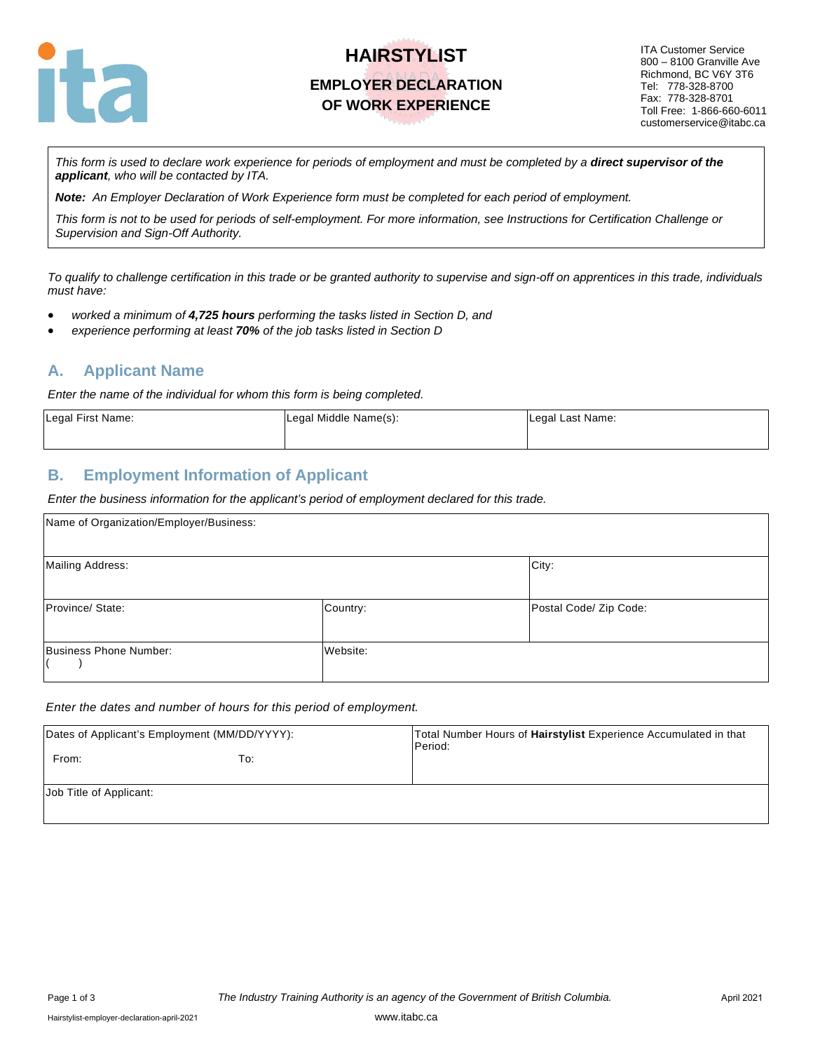

# **HAIRSTYLIST EMPLOYER DECLARATION OF WORK EXPERIENCE**

ITA Customer Service 800 – 8100 Granville Ave Richmond, BC V6Y 3T6 Tel: 778-328-8700 Fax: 778-328-8701 Toll Free: 1-866-660-6011 customerservice@itabc.ca

*This form is used to declare work experience for periods of employment and must be completed by a direct supervisor of the applicant, who will be contacted by ITA.*

*Note: An Employer Declaration of Work Experience form must be completed for each period of employment.*

*This form is not to be used for periods of self-employment. For more information, see Instructions for Certification Challenge or Supervision and Sign-Off Authority.*

*To qualify to challenge certification in this trade or be granted authority to supervise and sign-off on apprentices in this trade, individuals must have:* 

- *worked a minimum of 4,725 hours performing the tasks listed in Section D, and*
- *experience performing at least 70% of the job tasks listed in Section D*

#### **A. Applicant Name**

*Enter the name of the individual for whom this form is being completed.*

| Legal First Name: | Legal Middle Name(s): | Legal Last Name: |
|-------------------|-----------------------|------------------|
|                   |                       |                  |

#### **B. Employment Information of Applicant**

*Enter the business information for the applicant's period of employment declared for this trade.*

| Name of Organization/Employer/Business: |          |                        |
|-----------------------------------------|----------|------------------------|
| <b>Mailing Address:</b>                 |          | City:                  |
| Province/ State:                        | Country: | Postal Code/ Zip Code: |
| Business Phone Number:                  | Website: |                        |

#### *Enter the dates and number of hours for this period of employment.*

| Dates of Applicant's Employment (MM/DD/YYYY): |     | Total Number Hours of Hairstylist Experience Accumulated in that<br>Period: |
|-----------------------------------------------|-----|-----------------------------------------------------------------------------|
| From:                                         | To: |                                                                             |
| Job Title of Applicant:                       |     |                                                                             |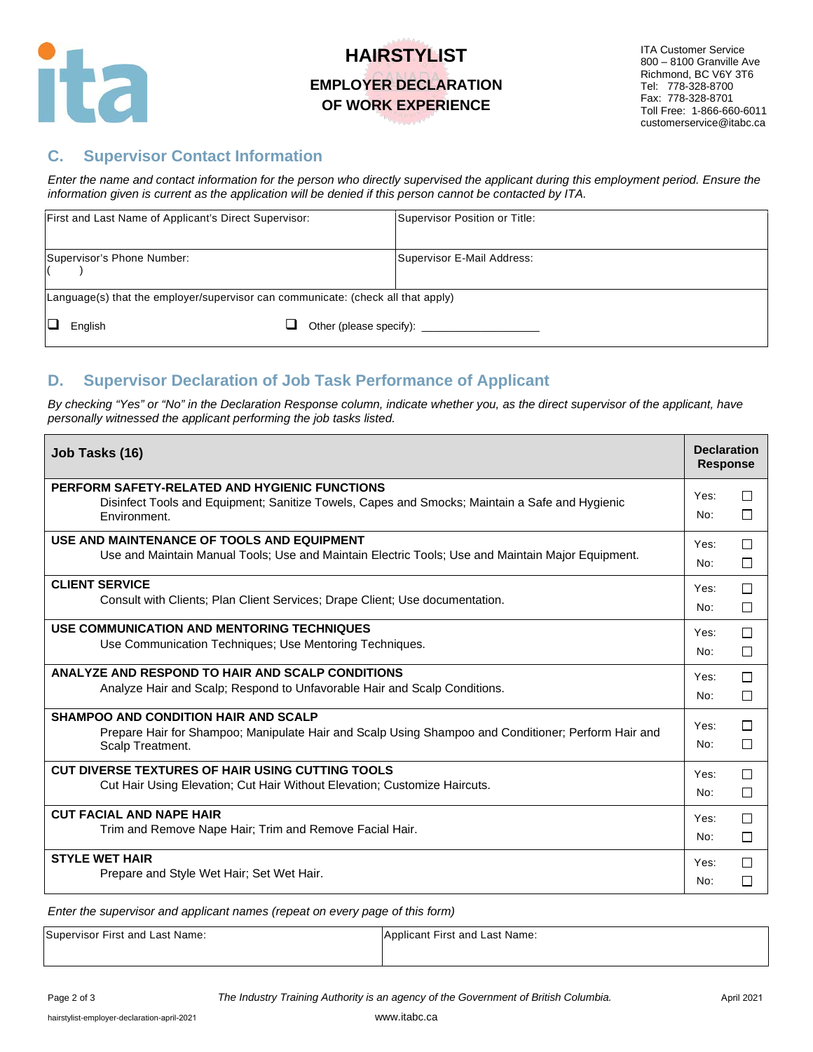

# **HAIRSTYLIST EMPLOYER DECLARATION OF WORK EXPERIENCE**

ITA Customer Service 800 – 8100 Granville Ave Richmond, BC V6Y 3T6 Tel: 778-328-8700 Fax: 778-328-8701 Toll Free: 1-866-660-6011 customerservice@itabc.ca

## **C. Supervisor Contact Information**

*Enter the name and contact information for the person who directly supervised the applicant during this employment period. Ensure the information given is current as the application will be denied if this person cannot be contacted by ITA.*

|                                                                                  | First and Last Name of Applicant's Direct Supervisor: |  | Supervisor Position or Title:                   |
|----------------------------------------------------------------------------------|-------------------------------------------------------|--|-------------------------------------------------|
|                                                                                  | Supervisor's Phone Number:                            |  | Supervisor E-Mail Address:                      |
| Language(s) that the employer/supervisor can communicate: (check all that apply) |                                                       |  |                                                 |
|                                                                                  | English                                               |  | Other (please specify): <u>________________</u> |

## **D. Supervisor Declaration of Job Task Performance of Applicant**

By checking "Yes" or "No" in the Declaration Response column, indicate whether you, as the direct supervisor of the applicant, have *personally witnessed the applicant performing the job tasks listed.*

| Job Tasks (16)                                                                                                                                                         | <b>Declaration</b><br><b>Response</b> |              |
|------------------------------------------------------------------------------------------------------------------------------------------------------------------------|---------------------------------------|--------------|
| PERFORM SAFETY-RELATED AND HYGIENIC FUNCTIONS<br>Disinfect Tools and Equipment; Sanitize Towels, Capes and Smocks; Maintain a Safe and Hygienic<br>Environment.        | Yes:<br>No:                           | $\Box$<br>П  |
| USE AND MAINTENANCE OF TOOLS AND EQUIPMENT                                                                                                                             | Yes:                                  | П            |
| Use and Maintain Manual Tools; Use and Maintain Electric Tools; Use and Maintain Major Equipment.                                                                      | No:                                   | $\mathbf{L}$ |
| <b>CLIENT SERVICE</b>                                                                                                                                                  | Yes:                                  | П            |
| Consult with Clients; Plan Client Services; Drape Client; Use documentation.                                                                                           | No:                                   | $\Box$       |
| USE COMMUNICATION AND MENTORING TECHNIQUES                                                                                                                             | Yes:                                  | П            |
| Use Communication Techniques: Use Mentoring Techniques.                                                                                                                | No:                                   | П            |
| ANALYZE AND RESPOND TO HAIR AND SCALP CONDITIONS                                                                                                                       | Yes:                                  | П            |
| Analyze Hair and Scalp; Respond to Unfavorable Hair and Scalp Conditions.                                                                                              | No:                                   | П            |
| <b>SHAMPOO AND CONDITION HAIR AND SCALP</b><br>Prepare Hair for Shampoo; Manipulate Hair and Scalp Using Shampoo and Conditioner; Perform Hair and<br>Scalp Treatment. | Yes:<br>No:                           | П<br>П       |
| CUT DIVERSE TEXTURES OF HAIR USING CUTTING TOOLS                                                                                                                       | Yes:                                  | $\Box$       |
| Cut Hair Using Elevation; Cut Hair Without Elevation; Customize Haircuts.                                                                                              | No:                                   | □            |
| <b>CUT FACIAL AND NAPE HAIR</b>                                                                                                                                        | Yes:                                  | П            |
| Trim and Remove Nape Hair; Trim and Remove Facial Hair.                                                                                                                | No:                                   | П            |
| <b>STYLE WET HAIR</b>                                                                                                                                                  | Yes:                                  | П            |
| Prepare and Style Wet Hair; Set Wet Hair.                                                                                                                              | No:                                   | П            |

*Enter the supervisor and applicant names (repeat on every page of this form)* 

Supervisor First and Last Name: Applicant First and Last Name: